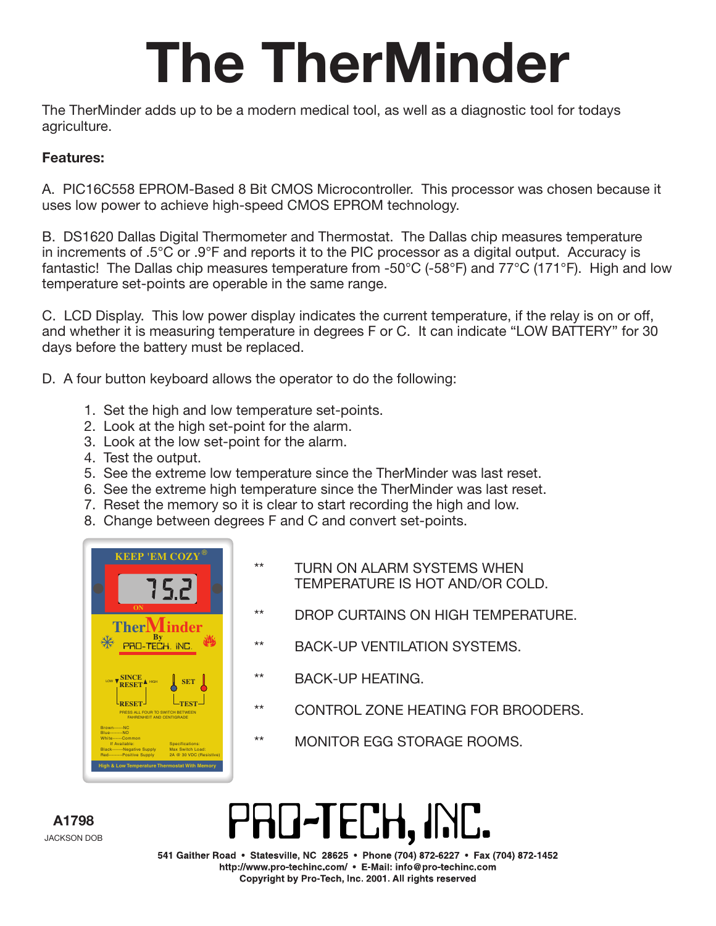## The TherMinder

The TherMinder adds up to be a modern medical tool, as well as a diagnostic tool for todays agriculture.

#### Features:

A. PIC16C558 EPROM-Based 8 Bit CMOS Microcontroller. This processor was chosen because it uses low power to achieve high-speed CMOS EPROM technology.

B. DS1620 Dallas Digital Thermometer and Thermostat. The Dallas chip measures temperature in increments of .5°C or .9°F and reports it to the PIC processor as a digital output. Accuracy is fantastic! The Dallas chip measures temperature from -50°C (-58°F) and 77°C (171°F). High and low temperature set-points are operable in the same range.

C. LCD Display. This low power display indicates the current temperature, if the relay is on or off, and whether it is measuring temperature in degrees F or C. It can indicate "LOW BATTERY" for 30 days before the battery must be replaced.

D. A four button keyboard allows the operator to do the following:

- 1. Set the high and low temperature set-points.
- 2. Look at the high set-point for the alarm.
- 3. Look at the low set-point for the alarm.
- 4. Test the output.
- 5. See the extreme low temperature since the TherMinder was last reset.
- 6. See the extreme high temperature since the TherMinder was last reset.
- 7. Reset the memory so it is clear to start recording the high and low.
- 8. Change between degrees F and C and convert set-points.



- \*\* TURN ON ALARM SYSTEMS WHEN TEMPERATURE IS HOT AND/OR COLD.
- \*\* DROP CURTAINS ON HIGH TEMPERATURE.
- \*\* BACK-UP VENTILATION SYSTEMS.
- BACK-UP HEATING.
- CONTROL ZONE HEATING FOR BROODERS.
- \*\* MONITOR EGG STORAGE ROOMS.

 A1798 JACKSON DOB

### PRO-TECH, INC.

541 Gaither Road • Statesville, NC 28625 • Phone (704) 872-6227 • Fax (704) 872-1452 http://www.pro-techinc.com/ • E-Mail: info@pro-techinc.com Copyright by Pro-Tech, Inc. 2001. All rights reserved